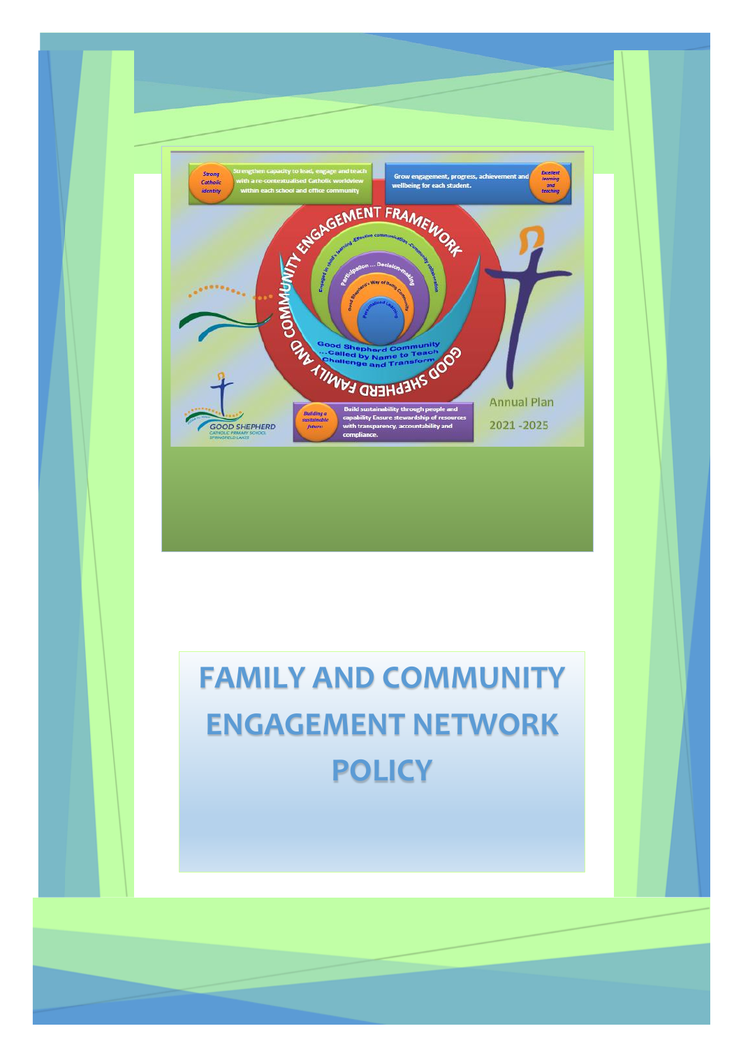

# **FAMILY AND COMMUNITY ENGAGEMENT NETWORK POLICY**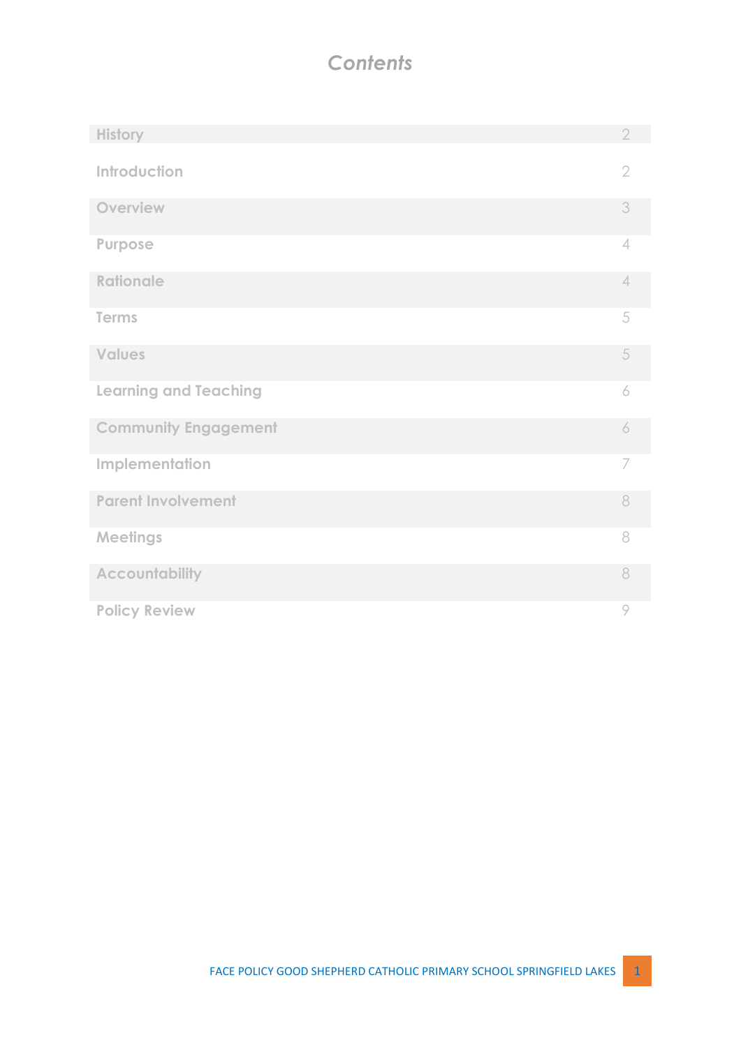# *Contents*

| <b>History</b>               | $\overline{2}$ |
|------------------------------|----------------|
| Introduction                 | $\overline{2}$ |
| Overview                     | 3              |
| Purpose                      | 4              |
| <b>Rationale</b>             | 4              |
| <b>Terms</b>                 | 5              |
| <b>Values</b>                | 5              |
| <b>Learning and Teaching</b> | 6              |
| <b>Community Engagement</b>  | 6              |
| Implementation               | 7              |
| <b>Parent Involvement</b>    | 8              |
| <b>Meetings</b>              | 8              |
| <b>Accountability</b>        | 8              |
| <b>Policy Review</b>         | 9              |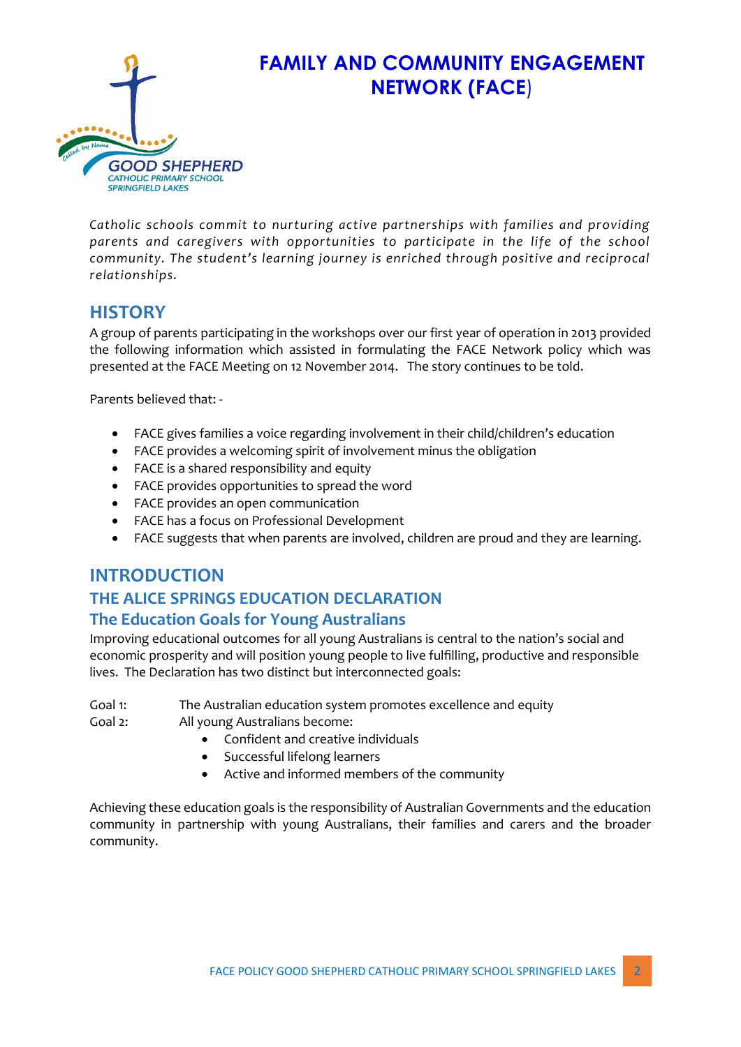

# **FAMILY AND COMMUNITY ENGAGEMENT NETWORK (FACE**)

*Catholic schools commit to nurturing active partnerships with families and providing parents and caregivers with opportunities to participate in the life of the school community. The student's learning journey is enriched through positive and reciprocal relationships.* 

## **HISTORY**

A group of parents participating in the workshops over our first year of operation in 2013 provided the following information which assisted in formulating the FACE Network policy which was presented at the FACE Meeting on 12 November 2014. The story continues to be told.

Parents believed that: -

- FACE gives families a voice regarding involvement in their child/children's education
- FACE provides a welcoming spirit of involvement minus the obligation
- FACE is a shared responsibility and equity
- FACE provides opportunities to spread the word
- FACE provides an open communication
- FACE has a focus on Professional Development
- FACE suggests that when parents are involved, children are proud and they are learning.

## **INTRODUCTION THE ALICE SPRINGS EDUCATION DECLARATION The Education Goals for Young Australians**

Improving educational outcomes for all young Australians is central to the nation's social and economic prosperity and will position young people to live fulfilling, productive and responsible lives. The Declaration has two distinct but interconnected goals:

Goal 1: The Australian education system promotes excellence and equity

Goal 2: All young Australians become:

- Confident and creative individuals
- Successful lifelong learners
- Active and informed members of the community

Achieving these education goals is the responsibility of Australian Governments and the education community in partnership with young Australians, their families and carers and the broader community.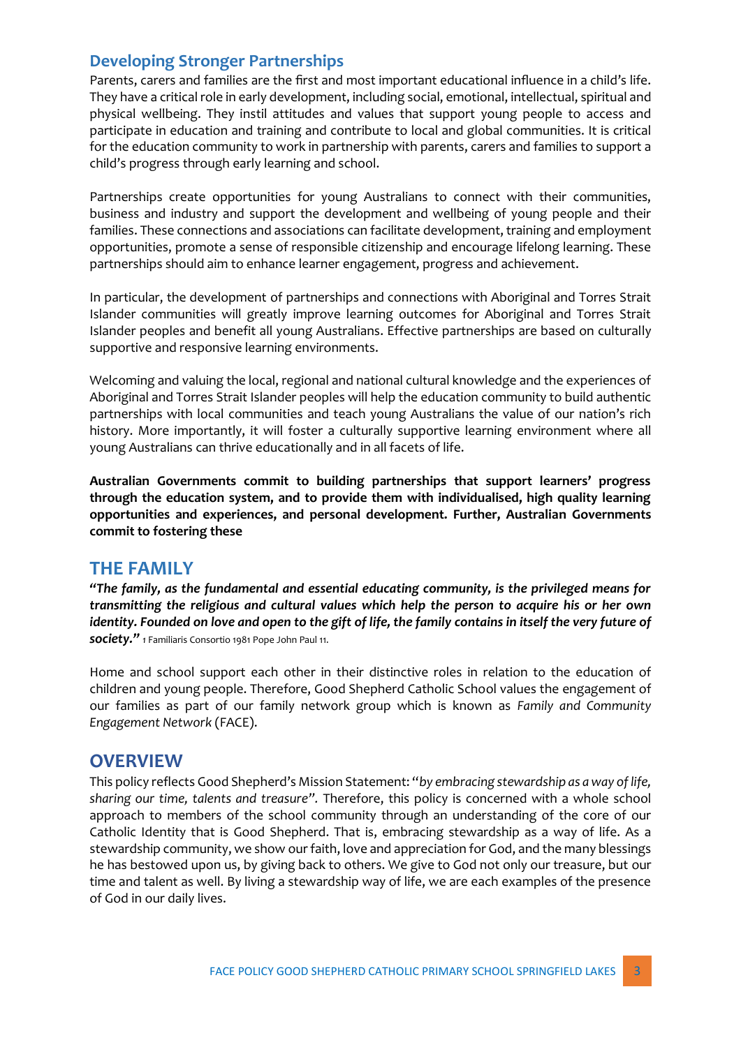#### **Developing Stronger Partnerships**

Parents, carers and families are the first and most important educational influence in a child's life. They have a critical role in early development, including social, emotional, intellectual, spiritual and physical wellbeing. They instil attitudes and values that support young people to access and participate in education and training and contribute to local and global communities. It is critical for the education community to work in partnership with parents, carers and families to support a child's progress through early learning and school.

Partnerships create opportunities for young Australians to connect with their communities, business and industry and support the development and wellbeing of young people and their families. These connections and associations can facilitate development, training and employment opportunities, promote a sense of responsible citizenship and encourage lifelong learning. These partnerships should aim to enhance learner engagement, progress and achievement.

In particular, the development of partnerships and connections with Aboriginal and Torres Strait Islander communities will greatly improve learning outcomes for Aboriginal and Torres Strait Islander peoples and benefit all young Australians. Effective partnerships are based on culturally supportive and responsive learning environments.

Welcoming and valuing the local, regional and national cultural knowledge and the experiences of Aboriginal and Torres Strait Islander peoples will help the education community to build authentic partnerships with local communities and teach young Australians the value of our nation's rich history. More importantly, it will foster a culturally supportive learning environment where all young Australians can thrive educationally and in all facets of life.

**Australian Governments commit to building partnerships that support learners' progress through the education system, and to provide them with individualised, high quality learning opportunities and experiences, and personal development. Further, Australian Governments commit to fostering these** 

#### **THE FAMILY**

*"The family, as the fundamental and essential educating community, is the privileged means for transmitting the religious and cultural values which help the person to acquire his or her own identity. Founded on love and open to the gift of life, the family contains in itself the very future of society." 1* Familiaris Consortio 1981 Pope John Paul 11.

Home and school support each other in their distinctive roles in relation to the education of children and young people. Therefore, Good Shepherd Catholic School values the engagement of our families as part of our family network group which is known as *Family and Community Engagement Network* (FACE).

#### **OVERVIEW**

This policy reflects Good Shepherd's Mission Statement: "*by embracing stewardship as a way of life, sharing our time, talents and treasure".* Therefore, this policy is concerned with a whole school approach to members of the school community through an understanding of the core of our Catholic Identity that is Good Shepherd. That is, embracing stewardship as a way of life. As a stewardship community, we show our faith, love and appreciation for God, and the many blessings he has bestowed upon us, by giving back to others. We give to God not only our treasure, but our time and talent as well. By living a stewardship way of life, we are each examples of the presence of God in our daily lives.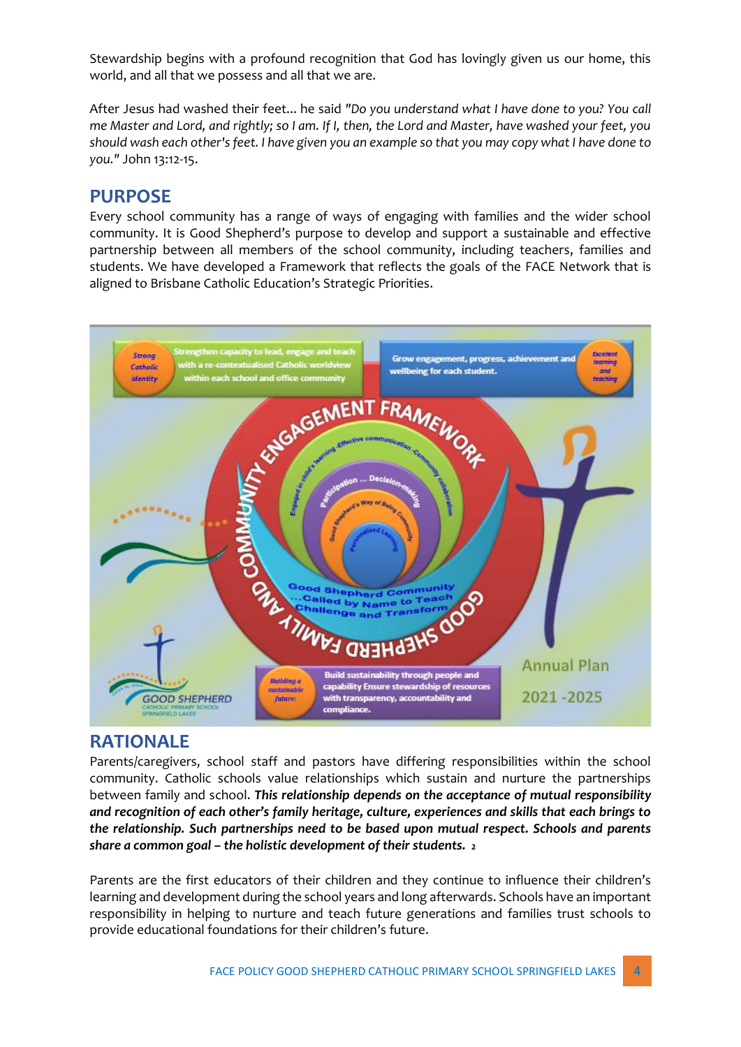Stewardship begins with a profound recognition that God has lovingly given us our home, this world, and all that we possess and all that we are.

After Jesus had washed their feet... he said *"Do you understand what I have done to you? You call me Master and Lord, and rightly; so I am. If I, then, the Lord and Master, have washed your feet, you should wash each other's feet. I have given you an example so that you may copy what I have done to you."* John 13:12-15.

#### **PURPOSE**

Every school community has a range of ways of engaging with families and the wider school community. It is Good Shepherd's purpose to develop and support a sustainable and effective partnership between all members of the school community, including teachers, families and students. We have developed a Framework that reflects the goals of the FACE Network that is aligned to Brisbane Catholic Education's Strategic Priorities.



#### **RATIONALE**

Parents/caregivers, school staff and pastors have differing responsibilities within the school community. Catholic schools value relationships which sustain and nurture the partnerships between family and school. *This relationship depends on the acceptance of mutual responsibility and recognition of each other's family heritage, culture, experiences and skills that each brings to the relationship. Such partnerships need to be based upon mutual respect. Schools and parents share a common goal – the holistic development of their students. 2* 

Parents are the first educators of their children and they continue to influence their children's learning and development during the school years and long afterwards. Schools have an important responsibility in helping to nurture and teach future generations and families trust schools to provide educational foundations for their children's future.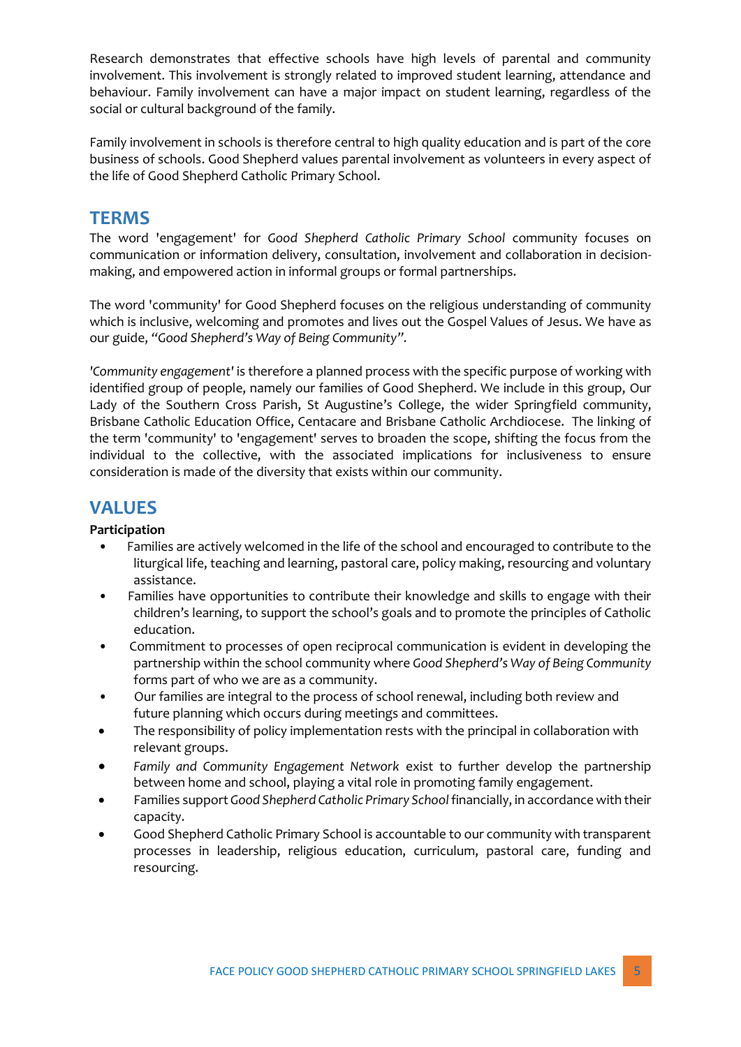Research demonstrates that effective schools have high levels of parental and community involvement. This involvement is strongly related to improved student learning, attendance and behaviour. Family involvement can have a major impact on student learning, regardless of the social or cultural background of the family.

Family involvement in schools is therefore central to high quality education and is part of the core business of schools. Good Shepherd values parental involvement as volunteers in every aspect of the life of Good Shepherd Catholic Primary School.

#### **TERMS**

The word 'engagement' for *Good Shepherd Catholic Primary School* community focuses on communication or information delivery, consultation, involvement and collaboration in decisionmaking, and empowered action in informal groups or formal partnerships.

The word 'community' for Good Shepherd focuses on the religious understanding of community which is inclusive, welcoming and promotes and lives out the Gospel Values of Jesus. We have as our guide, *"Good Shepherd's Way of Being Community".*

*'Community engagement'* is therefore a planned process with the specific purpose of working with identified group of people, namely our families of Good Shepherd. We include in this group, Our Lady of the Southern Cross Parish, St Augustine's College, the wider Springfield community, Brisbane Catholic Education Office, Centacare and Brisbane Catholic Archdiocese. The linking of the term 'community' to 'engagement' serves to broaden the scope, shifting the focus from the individual to the collective, with the associated implications for inclusiveness to ensure consideration is made of the diversity that exists within our community.

## **VALUES**

#### **Participation**

- Families are actively welcomed in the life of the school and encouraged to contribute to the liturgical life, teaching and learning, pastoral care, policy making, resourcing and voluntary assistance.
- Families have opportunities to contribute their knowledge and skills to engage with their children's learning, to support the school's goals and to promote the principles of Catholic education.
- Commitment to processes of open reciprocal communication is evident in developing the partnership within the school community where *Good Shepherd's Way of Being Community*  forms part of who we are as a community.
- Our families are integral to the process of school renewal, including both review and future planning which occurs during meetings and committees.
- The responsibility of policy implementation rests with the principal in collaboration with relevant groups.
- *Family and Community Engagement Network* exist to further develop the partnership between home and school, playing a vital role in promoting family engagement.
- Families support *Good Shepherd Catholic Primary School* financially, in accordance with their capacity.
- Good Shepherd Catholic Primary School is accountable to our community with transparent processes in leadership, religious education, curriculum, pastoral care, funding and resourcing.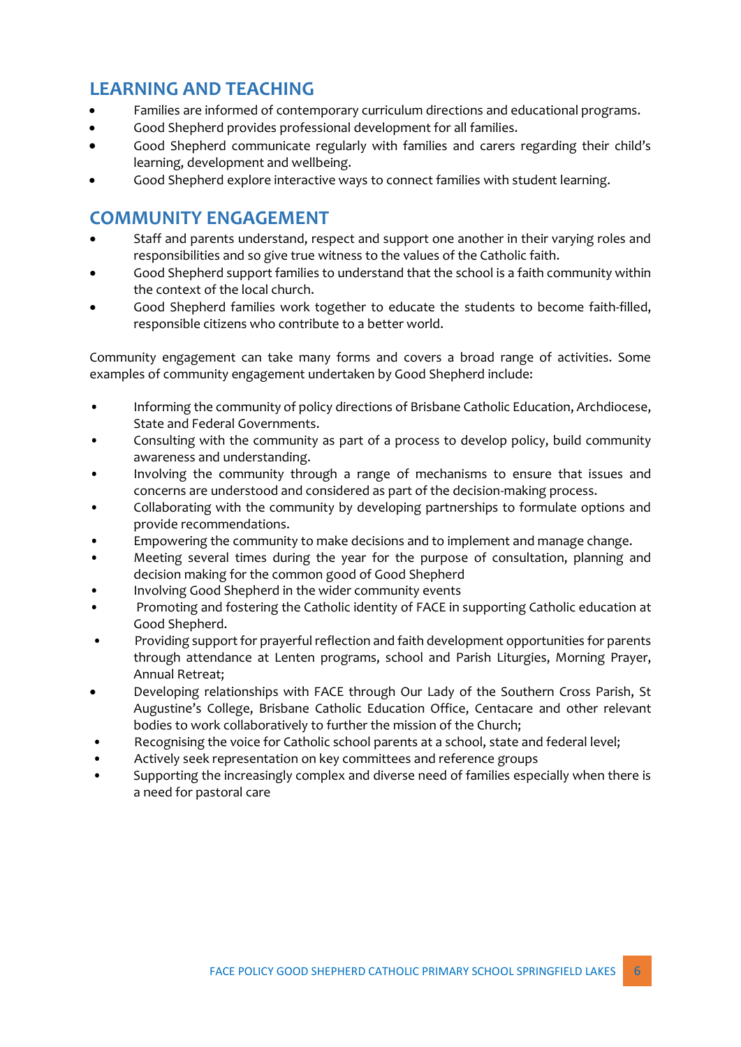# **LEARNING AND TEACHING**

- Families are informed of contemporary curriculum directions and educational programs.
- Good Shepherd provides professional development for all families.
- Good Shepherd communicate regularly with families and carers regarding their child's learning, development and wellbeing.
- Good Shepherd explore interactive ways to connect families with student learning.

# **COMMUNITY ENGAGEMENT**

- Staff and parents understand, respect and support one another in their varying roles and responsibilities and so give true witness to the values of the Catholic faith.
- Good Shepherd support families to understand that the school is a faith community within the context of the local church.
- Good Shepherd families work together to educate the students to become faith-filled, responsible citizens who contribute to a better world.

Community engagement can take many forms and covers a broad range of activities. Some examples of community engagement undertaken by Good Shepherd include:

- Informing the community of policy directions of Brisbane Catholic Education, Archdiocese, State and Federal Governments.
- Consulting with the community as part of a process to develop policy, build community awareness and understanding.
- Involving the community through a range of mechanisms to ensure that issues and concerns are understood and considered as part of the decision-making process.
- Collaborating with the community by developing partnerships to formulate options and provide recommendations.
- Empowering the community to make decisions and to implement and manage change.
- Meeting several times during the year for the purpose of consultation, planning and decision making for the common good of Good Shepherd
- Involving Good Shepherd in the wider community events
- Promoting and fostering the Catholic identity of FACE in supporting Catholic education at Good Shepherd.
- Providing support for prayerful reflection and faith development opportunities for parents through attendance at Lenten programs, school and Parish Liturgies, Morning Prayer, Annual Retreat;
- Developing relationships with FACE through Our Lady of the Southern Cross Parish, St Augustine's College, Brisbane Catholic Education Office, Centacare and other relevant bodies to work collaboratively to further the mission of the Church;
- Recognising the voice for Catholic school parents at a school, state and federal level;
- Actively seek representation on key committees and reference groups
- Supporting the increasingly complex and diverse need of families especially when there is a need for pastoral care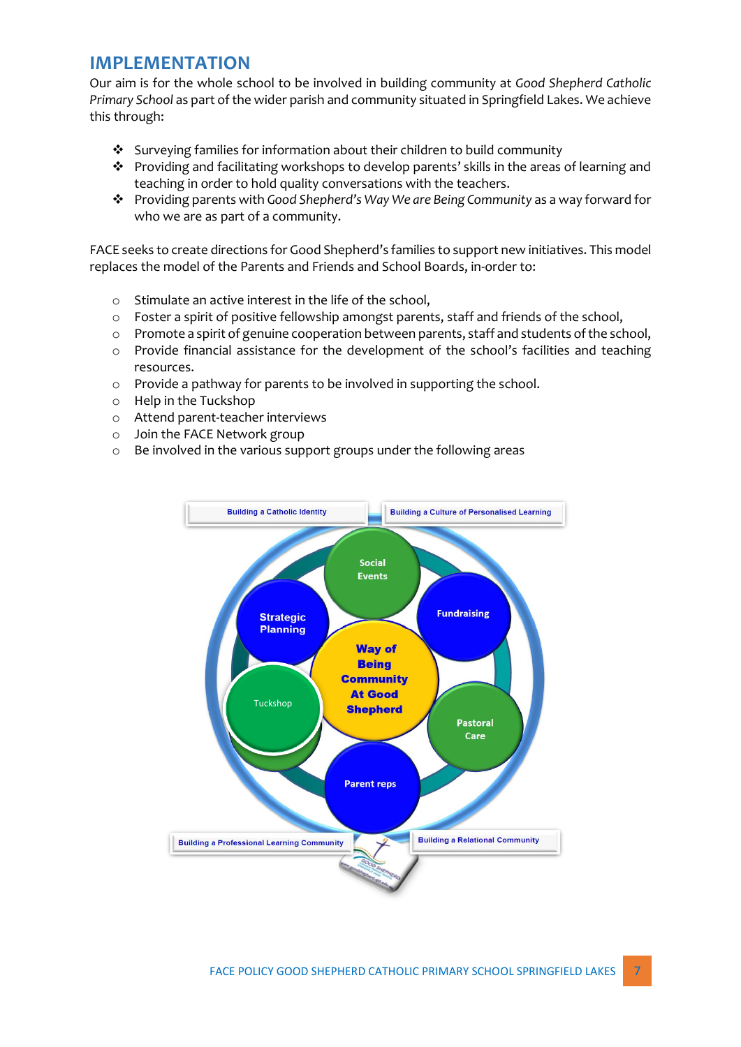#### **IMPLEMENTATION**

Our aim is for the whole school to be involved in building community at *Good Shepherd Catholic Primary School* as part of the wider parish and community situated in Springfield Lakes. We achieve this through:

- ❖ Surveying families for information about their children to build community
- ❖ Providing and facilitating workshops to develop parents' skills in the areas of learning and teaching in order to hold quality conversations with the teachers.
- ❖ Providing parents with *Good Shepherd's Way We are Being Community* as a way forward for who we are as part of a community.

FACE seeks to create directions for Good Shepherd's families to support new initiatives. This model replaces the model of the Parents and Friends and School Boards, in-order to:

- o Stimulate an active interest in the life of the school,
- o Foster a spirit of positive fellowship amongst parents, staff and friends of the school,
- $\circ$  Promote a spirit of genuine cooperation between parents, staff and students of the school,
- o Provide financial assistance for the development of the school's facilities and teaching resources.
- o Provide a pathway for parents to be involved in supporting the school.
- o Help in the Tuckshop
- o Attend parent-teacher interviews
- o Join the FACE Network group
- o Be involved in the various support groups under the following areas

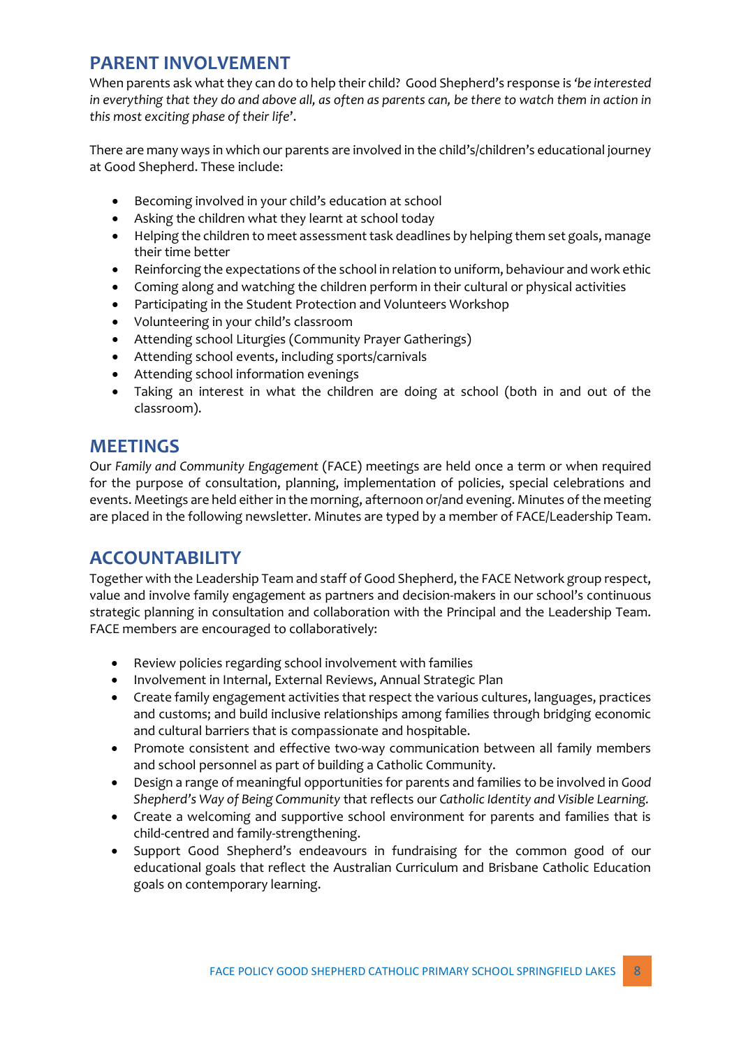## **PARENT INVOLVEMENT**

When parents ask what they can do to help their child? Good Shepherd's response is *'be interested in everything that they do and above all, as often as parents can, be there to watch them in action in this most exciting phase of their life*'.

There are many ways in which our parents are involved in the child's/children's educational journey at Good Shepherd. These include:

- Becoming involved in your child's education at school
- Asking the children what they learnt at school today
- Helping the children to meet assessment task deadlines by helping them set goals, manage their time better
- Reinforcing the expectations of the school in relation to uniform, behaviour and work ethic
- Coming along and watching the children perform in their cultural or physical activities
- Participating in the Student Protection and Volunteers Workshop
- Volunteering in your child's classroom
- Attending school Liturgies (Community Prayer Gatherings)
- Attending school events, including sports/carnivals
- Attending school information evenings
- Taking an interest in what the children are doing at school (both in and out of the classroom).

#### **MEETINGS**

Our *Family and Community Engagement* (FACE) meetings are held once a term or when required for the purpose of consultation, planning, implementation of policies, special celebrations and events. Meetings are held either in the morning, afternoon or/and evening. Minutes of the meeting are placed in the following newsletter. Minutes are typed by a member of FACE/Leadership Team.

#### **ACCOUNTABILITY**

Together with the Leadership Team and staff of Good Shepherd, the FACE Network group respect, value and involve family engagement as partners and decision-makers in our school's continuous strategic planning in consultation and collaboration with the Principal and the Leadership Team. FACE members are encouraged to collaboratively:

- Review policies regarding school involvement with families
- Involvement in Internal, External Reviews, Annual Strategic Plan
- Create family engagement activities that respect the various cultures, languages, practices and customs; and build inclusive relationships among families through bridging economic and cultural barriers that is compassionate and hospitable.
- Promote consistent and effective two-way communication between all family members and school personnel as part of building a Catholic Community.
- Design a range of meaningful opportunities for parents and families to be involved in *Good Shepherd's Way of Being Community* that reflects our *Catholic Identity and Visible Learning.*
- Create a welcoming and supportive school environment for parents and families that is child-centred and family-strengthening.
- Support Good Shepherd's endeavours in fundraising for the common good of our educational goals that reflect the Australian Curriculum and Brisbane Catholic Education goals on contemporary learning.